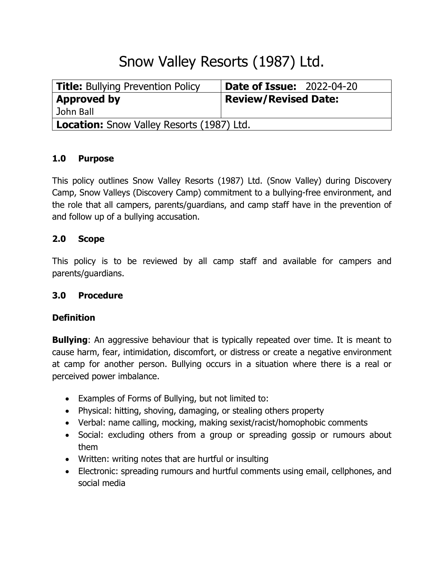# Snow Valley Resorts (1987) Ltd.

| <b>Title:</b> Bullying Prevention Policy         | <b>Date of Issue: 2022-04-20</b> |
|--------------------------------------------------|----------------------------------|
| <b>Approved by</b>                               | Review/Revised Date:             |
| John Ball                                        |                                  |
| <b>Location:</b> Snow Valley Resorts (1987) Ltd. |                                  |

## **1.0 Purpose**

This policy outlines Snow Valley Resorts (1987) Ltd. (Snow Valley) during Discovery Camp, Snow Valleys (Discovery Camp) commitment to a bullying-free environment, and the role that all campers, parents/guardians, and camp staff have in the prevention of and follow up of a bullying accusation.

# **2.0 Scope**

This policy is to be reviewed by all camp staff and available for campers and parents/guardians.

## **3.0 Procedure**

## **Definition**

**Bullying**: An aggressive behaviour that is typically repeated over time. It is meant to cause harm, fear, intimidation, discomfort, or distress or create a negative environment at camp for another person. Bullying occurs in a situation where there is a real or perceived power imbalance.

- Examples of Forms of Bullying, but not limited to:
- Physical: hitting, shoving, damaging, or stealing others property
- Verbal: name calling, mocking, making sexist/racist/homophobic comments
- Social: excluding others from a group or spreading gossip or rumours about them
- Written: writing notes that are hurtful or insulting
- Electronic: spreading rumours and hurtful comments using email, cellphones, and social media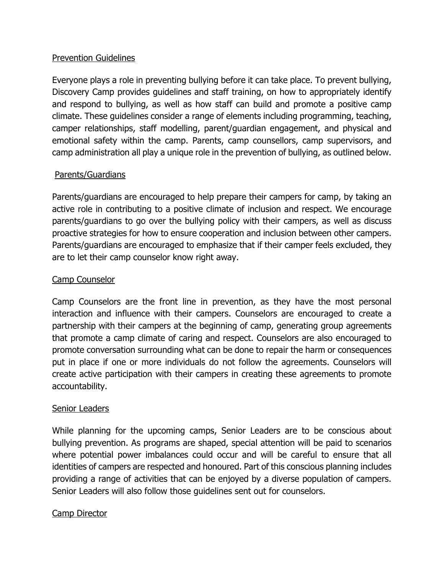## Prevention Guidelines

Everyone plays a role in preventing bullying before it can take place. To prevent bullying, Discovery Camp provides guidelines and staff training, on how to appropriately identify and respond to bullying, as well as how staff can build and promote a positive camp climate. These guidelines consider a range of elements including programming, teaching, camper relationships, staff modelling, parent/guardian engagement, and physical and emotional safety within the camp. Parents, camp counsellors, camp supervisors, and camp administration all play a unique role in the prevention of bullying, as outlined below.

## Parents/Guardians

Parents/guardians are encouraged to help prepare their campers for camp, by taking an active role in contributing to a positive climate of inclusion and respect. We encourage parents/guardians to go over the bullying policy with their campers, as well as discuss proactive strategies for how to ensure cooperation and inclusion between other campers. Parents/guardians are encouraged to emphasize that if their camper feels excluded, they are to let their camp counselor know right away.

## Camp Counselor

Camp Counselors are the front line in prevention, as they have the most personal interaction and influence with their campers. Counselors are encouraged to create a partnership with their campers at the beginning of camp, generating group agreements that promote a camp climate of caring and respect. Counselors are also encouraged to promote conversation surrounding what can be done to repair the harm or consequences put in place if one or more individuals do not follow the agreements. Counselors will create active participation with their campers in creating these agreements to promote accountability.

## Senior Leaders

While planning for the upcoming camps, Senior Leaders are to be conscious about bullying prevention. As programs are shaped, special attention will be paid to scenarios where potential power imbalances could occur and will be careful to ensure that all identities of campers are respected and honoured. Part of this conscious planning includes providing a range of activities that can be enjoyed by a diverse population of campers. Senior Leaders will also follow those guidelines sent out for counselors.

## Camp Director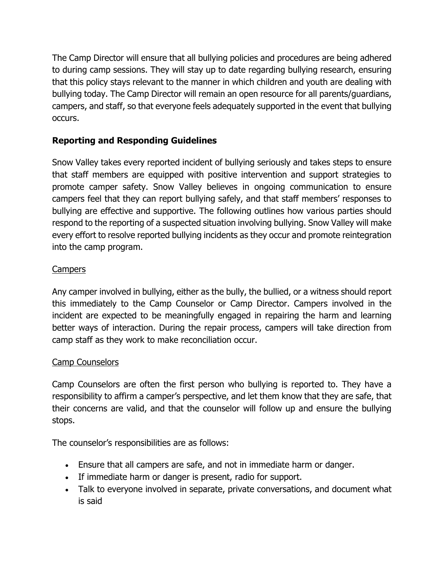The Camp Director will ensure that all bullying policies and procedures are being adhered to during camp sessions. They will stay up to date regarding bullying research, ensuring that this policy stays relevant to the manner in which children and youth are dealing with bullying today. The Camp Director will remain an open resource for all parents/guardians, campers, and staff, so that everyone feels adequately supported in the event that bullying occurs.

# **Reporting and Responding Guidelines**

Snow Valley takes every reported incident of bullying seriously and takes steps to ensure that staff members are equipped with positive intervention and support strategies to promote camper safety. Snow Valley believes in ongoing communication to ensure campers feel that they can report bullying safely, and that staff members' responses to bullying are effective and supportive. The following outlines how various parties should respond to the reporting of a suspected situation involving bullying. Snow Valley will make every effort to resolve reported bullying incidents as they occur and promote reintegration into the camp program.

# Campers

Any camper involved in bullying, either as the bully, the bullied, or a witness should report this immediately to the Camp Counselor or Camp Director. Campers involved in the incident are expected to be meaningfully engaged in repairing the harm and learning better ways of interaction. During the repair process, campers will take direction from camp staff as they work to make reconciliation occur.

# Camp Counselors

Camp Counselors are often the first person who bullying is reported to. They have a responsibility to affirm a camper's perspective, and let them know that they are safe, that their concerns are valid, and that the counselor will follow up and ensure the bullying stops.

The counselor's responsibilities are as follows:

- Ensure that all campers are safe, and not in immediate harm or danger.
- If immediate harm or danger is present, radio for support.
- Talk to everyone involved in separate, private conversations, and document what is said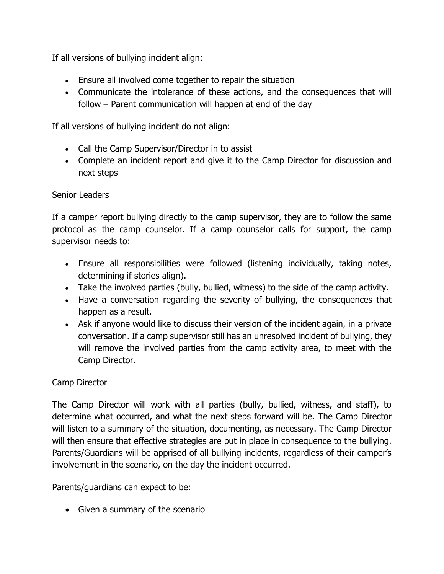If all versions of bullying incident align:

- Ensure all involved come together to repair the situation
- Communicate the intolerance of these actions, and the consequences that will follow – Parent communication will happen at end of the day

If all versions of bullying incident do not align:

- Call the Camp Supervisor/Director in to assist
- Complete an incident report and give it to the Camp Director for discussion and next steps

# Senior Leaders

If a camper report bullying directly to the camp supervisor, they are to follow the same protocol as the camp counselor. If a camp counselor calls for support, the camp supervisor needs to:

- Ensure all responsibilities were followed (listening individually, taking notes, determining if stories align).
- Take the involved parties (bully, bullied, witness) to the side of the camp activity.
- Have a conversation regarding the severity of bullying, the consequences that happen as a result.
- Ask if anyone would like to discuss their version of the incident again, in a private conversation. If a camp supervisor still has an unresolved incident of bullying, they will remove the involved parties from the camp activity area, to meet with the Camp Director.

# Camp Director

The Camp Director will work with all parties (bully, bullied, witness, and staff), to determine what occurred, and what the next steps forward will be. The Camp Director will listen to a summary of the situation, documenting, as necessary. The Camp Director will then ensure that effective strategies are put in place in consequence to the bullying. Parents/Guardians will be apprised of all bullying incidents, regardless of their camper's involvement in the scenario, on the day the incident occurred.

Parents/guardians can expect to be:

• Given a summary of the scenario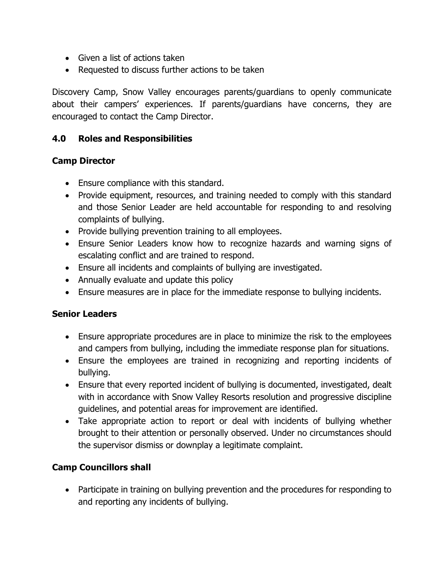- Given a list of actions taken
- Requested to discuss further actions to be taken

Discovery Camp, Snow Valley encourages parents/guardians to openly communicate about their campers' experiences. If parents/guardians have concerns, they are encouraged to contact the Camp Director.

## **4.0 Roles and Responsibilities**

## **Camp Director**

- Ensure compliance with this standard.
- Provide equipment, resources, and training needed to comply with this standard and those Senior Leader are held accountable for responding to and resolving complaints of bullying.
- Provide bullying prevention training to all employees.
- Ensure Senior Leaders know how to recognize hazards and warning signs of escalating conflict and are trained to respond.
- Ensure all incidents and complaints of bullying are investigated.
- Annually evaluate and update this policy
- Ensure measures are in place for the immediate response to bullying incidents.

## **Senior Leaders**

- Ensure appropriate procedures are in place to minimize the risk to the employees and campers from bullying, including the immediate response plan for situations.
- Ensure the employees are trained in recognizing and reporting incidents of bullying.
- Ensure that every reported incident of bullying is documented, investigated, dealt with in accordance with Snow Valley Resorts resolution and progressive discipline guidelines, and potential areas for improvement are identified.
- Take appropriate action to report or deal with incidents of bullying whether brought to their attention or personally observed. Under no circumstances should the supervisor dismiss or downplay a legitimate complaint.

# **Camp Councillors shall**

• Participate in training on bullying prevention and the procedures for responding to and reporting any incidents of bullying.